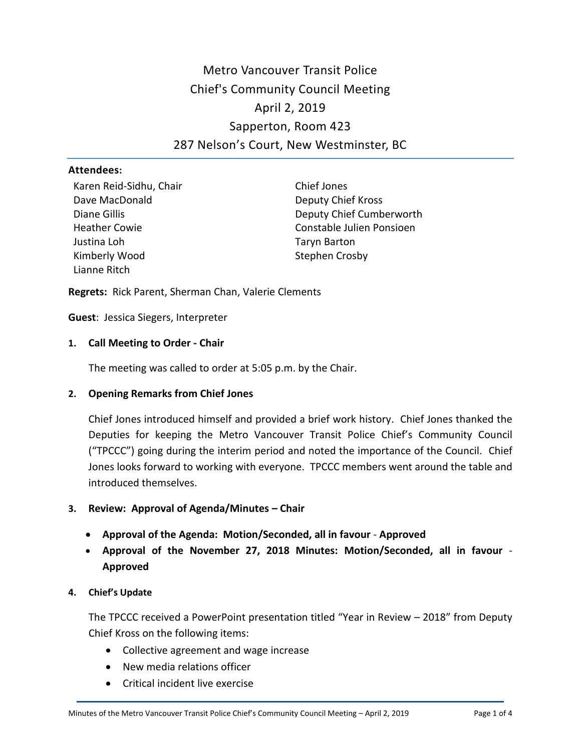# Metro Vancouver Transit Police Chief's Community Council Meeting April 2, 2019 Sapperton, Room 423 287 Nelson's Court, New Westminster, BC

#### **Attendees:**

Karen Reid-Sidhu, Chair Dave MacDonald Diane Gillis Heather Cowie Justina Loh Kimberly Wood Lianne Ritch

Chief Jones Deputy Chief Kross Deputy Chief Cumberworth Constable Julien Ponsioen Taryn Barton Stephen Crosby

**Regrets:** Rick Parent, Sherman Chan, Valerie Clements

**Guest**: Jessica Siegers, Interpreter

## **1. Call Meeting to Order - Chair**

The meeting was called to order at 5:05 p.m. by the Chair.

## **2. Opening Remarks from Chief Jones**

Chief Jones introduced himself and provided a brief work history. Chief Jones thanked the Deputies for keeping the Metro Vancouver Transit Police Chief's Community Council ("TPCCC") going during the interim period and noted the importance of the Council. Chief Jones looks forward to working with everyone. TPCCC members went around the table and introduced themselves.

- **3. Review: Approval of Agenda/Minutes – Chair**
	- **Approval of the Agenda: Motion/Seconded, all in favour Approved**
	- **Approval of the November 27, 2018 Minutes: Motion/Seconded, all in favour Approved**

## **4. Chief's Update**

The TPCCC received a PowerPoint presentation titled "Year in Review – 2018" from Deputy Chief Kross on the following items:

- Collective agreement and wage increase
- New media relations officer
- Critical incident live exercise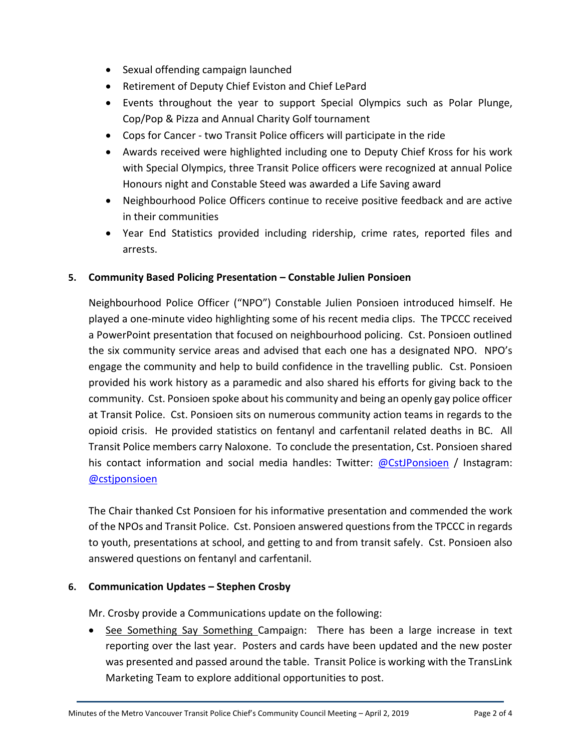- Sexual offending campaign launched
- Retirement of Deputy Chief Eviston and Chief LePard
- Events throughout the year to support Special Olympics such as Polar Plunge, Cop/Pop & Pizza and Annual Charity Golf tournament
- Cops for Cancer two Transit Police officers will participate in the ride
- Awards received were highlighted including one to Deputy Chief Kross for his work with Special Olympics, three Transit Police officers were recognized at annual Police Honours night and Constable Steed was awarded a Life Saving award
- Neighbourhood Police Officers continue to receive positive feedback and are active in their communities
- Year End Statistics provided including ridership, crime rates, reported files and arrests.

## **5. Community Based Policing Presentation – Constable Julien Ponsioen**

Neighbourhood Police Officer ("NPO") Constable Julien Ponsioen introduced himself. He played a one-minute video highlighting some of his recent media clips. The TPCCC received a PowerPoint presentation that focused on neighbourhood policing. Cst. Ponsioen outlined the six community service areas and advised that each one has a designated NPO. NPO's engage the community and help to build confidence in the travelling public. Cst. Ponsioen provided his work history as a paramedic and also shared his efforts for giving back to the community. Cst. Ponsioen spoke about his community and being an openly gay police officer at Transit Police. Cst. Ponsioen sits on numerous community action teams in regards to the opioid crisis. He provided statistics on fentanyl and carfentanil related deaths in BC. All Transit Police members carry Naloxone. To conclude the presentation, Cst. Ponsioen shared his contact information and social media handles: Twitter: [@CstJPonsioen](https://twitter.com/CstJPonsioen) / Instagram: [@cstjponsioen](https://www.instagram.com/cstjponsioen/)

The Chair thanked Cst Ponsioen for his informative presentation and commended the work of the NPOs and Transit Police. Cst. Ponsioen answered questions from the TPCCC in regards to youth, presentations at school, and getting to and from transit safely. Cst. Ponsioen also answered questions on fentanyl and carfentanil.

## **6. Communication Updates – Stephen Crosby**

Mr. Crosby provide a Communications update on the following:

• See Something Say Something Campaign: There has been a large increase in text reporting over the last year. Posters and cards have been updated and the new poster was presented and passed around the table. Transit Police is working with the TransLink Marketing Team to explore additional opportunities to post.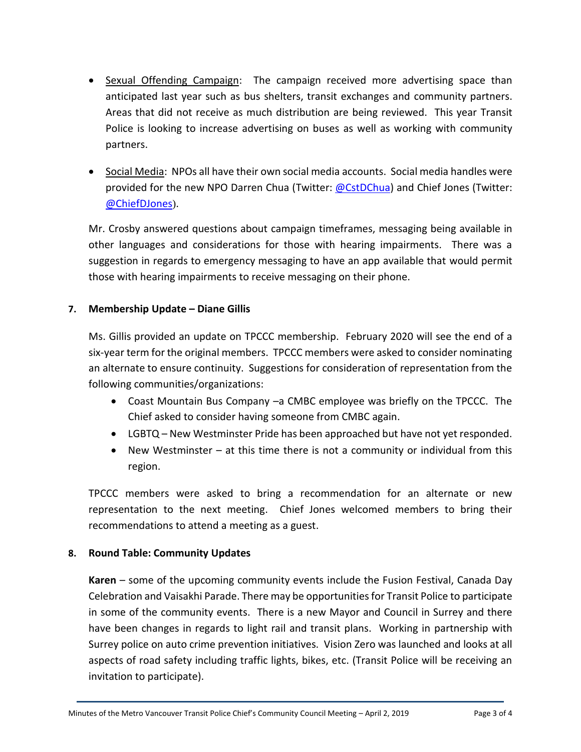- **•** Sexual Offending Campaign: The campaign received more advertising space than anticipated last year such as bus shelters, transit exchanges and community partners. Areas that did not receive as much distribution are being reviewed. This year Transit Police is looking to increase advertising on buses as well as working with community partners.
- Social Media: NPOs all have their own social media accounts. Social media handles were provided for the new NPO Darren Chua (Twitter: [@CstDChua\)](https://twitter.com/CstDChua) and Chief Jones (Twitter: [@ChiefDJones](https://twitter.com/ChiefDJones)).

Mr. Crosby answered questions about campaign timeframes, messaging being available in other languages and considerations for those with hearing impairments. There was a suggestion in regards to emergency messaging to have an app available that would permit those with hearing impairments to receive messaging on their phone.

## **7. Membership Update – Diane Gillis**

Ms. Gillis provided an update on TPCCC membership. February 2020 will see the end of a six-year term for the original members. TPCCC members were asked to consider nominating an alternate to ensure continuity. Suggestions for consideration of representation from the following communities/organizations:

- Coast Mountain Bus Company –a CMBC employee was briefly on the TPCCC. The Chief asked to consider having someone from CMBC again.
- LGBTQ New Westminster Pride has been approached but have not yet responded.
- New Westminster at this time there is not a community or individual from this region.

TPCCC members were asked to bring a recommendation for an alternate or new representation to the next meeting. Chief Jones welcomed members to bring their recommendations to attend a meeting as a guest.

## **8. Round Table: Community Updates**

**Karen** – some of the upcoming community events include the Fusion Festival, Canada Day Celebration and Vaisakhi Parade. There may be opportunities for Transit Police to participate in some of the community events. There is a new Mayor and Council in Surrey and there have been changes in regards to light rail and transit plans. Working in partnership with Surrey police on auto crime prevention initiatives. Vision Zero was launched and looks at all aspects of road safety including traffic lights, bikes, etc. (Transit Police will be receiving an invitation to participate).